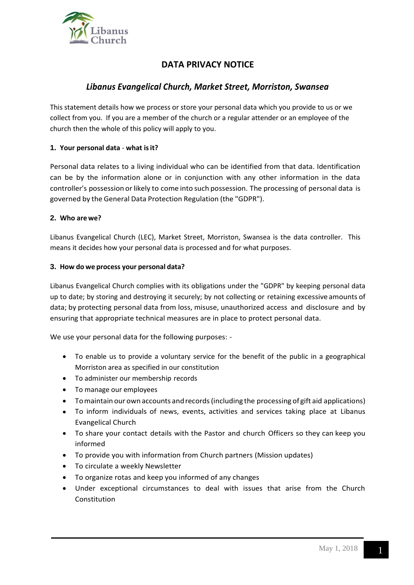

# **DATA PRIVACY NOTICE**

# *Libanus Evangelical Church, Market Street, Morriston, Swansea*

This statement details how we process or store your personal data which you provide to us or we collect from you. If you are a member of the church or a regular attender or an employee of the church then the whole of this policy will apply to you.

## **1. Your personal data** - **what isit?**

Personal data relates to a living individual who can be identified from that data. Identification can be by the information alone or in conjunction with any other information in the data controller's possession or likely to come into such possession. The processing of personal data is governed by the General Data Protection Regulation (the "GDPR").

### **2. Who arewe?**

Libanus Evangelical Church (LEC), Market Street, Morriston, Swansea is the data controller. This means it decides how your personal data is processed and for what purposes.

### **3. How do we process your personal data?**

Libanus Evangelical Church complies with its obligations under the "GDPR" by keeping personal data up to date; by storing and destroying it securely; by not collecting or retaining excessive amounts of data; by protecting personal data from loss, misuse, unauthorized access and disclosure and by ensuring that appropriate technical measures are in place to protect personal data.

We use your personal data for the following purposes: -

- To enable us to provide a voluntary service for the benefit of the public in a geographical Morriston area as specified in our constitution
- To administer our membership records
- To manage our employees
- Tomaintain our own accounts andrecords(including the processing of gift aid applications)
- To inform individuals of news, events, activities and services taking place at Libanus Evangelical Church
- To share your contact details with the Pastor and church Officers so they can keep you informed
- To provide you with information from Church partners (Mission updates)
- To circulate a weekly Newsletter
- To organize rotas and keep you informed of any changes
- Under exceptional circumstances to deal with issues that arise from the Church Constitution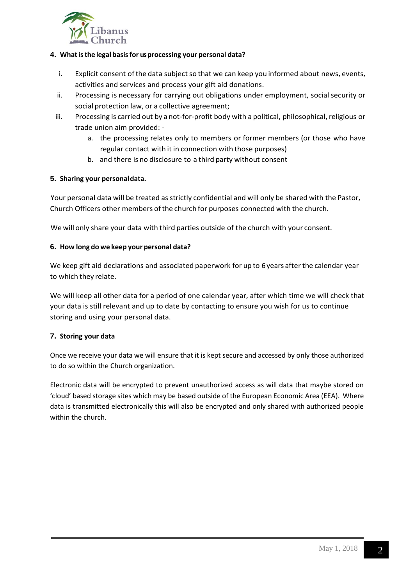

### **4. Whatisthe legal basisfor us processing your personal data?**

- i. Explicit consent ofthe data subject so that we can keep you informed about news, events, activities and services and process your gift aid donations.
- ii. Processing is necessary for carrying out obligations under employment, social security or social protection law, or a collective agreement;
- iii. Processing is carried out by a not-for-profit body with a political, philosophical,religious or trade union aim provided:
	- a. the processing relates only to members or former members (or those who have regular contact with it in connection with those purposes)
	- b. and there is no disclosure to a third party without consent

# **5. Sharing your personaldata.**

Your personal data will be treated as strictly confidential and will only be shared with the Pastor, Church Officers other members ofthe church for purposes connected with the church.

We will only share your data with third parties outside of the church with your consent.

## **6. How long do we keep your personal data?**

We keep gift aid declarations and associated paperwork for up to 6 years after the calendar year to which they relate.

We will keep all other data for a period of one calendar year, after which time we will check that your data is still relevant and up to date by contacting to ensure you wish for us to continue storing and using your personal data.

# **7. Storing your data**

Once we receive your data we will ensure that it is kept secure and accessed by only those authorized to do so within the Church organization.

Electronic data will be encrypted to prevent unauthorized access as will data that maybe stored on 'cloud' based storage sites which may be based outside of the European Economic Area (EEA). Where data is transmitted electronically this will also be encrypted and only shared with authorized people within the church.